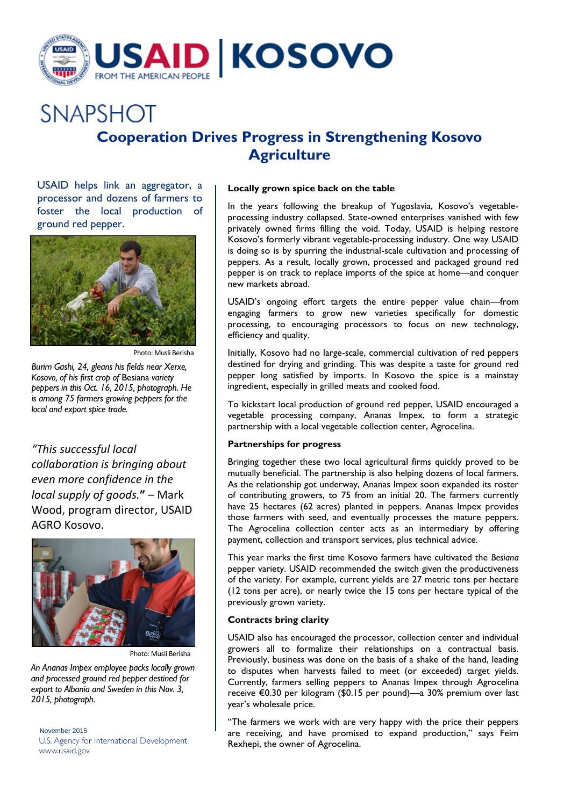

# **SNAPSHOT Cooperation Drives Progress in Strengthening Kosovo Agriculture**

USAID helps link an aggregator, a processor and dozens of farmers to foster the local production of ground red pepper.



Photo: Musli Berisha

*Burim Gashi, 24, gleans his fields near Xerxe, Kosovo, of his first crop of* Besiana *variety peppers in this Oct. 16, 2015, photograph. He is among 75 farmers growing peppers for the local and export spice trade.*

*"This successful local collaboration is bringing about even more confidence in the local supply of goods.***"** – Mark Wood, program director, USAID AGRO Kosovo.



Photo: Musli Berisha

*An Ananas Impex employee packs locally grown and processed ground red pepper destined for export to Albania and Sweden in this Nov. 3, 2015, photograph.* 

November 2015 U.S. Agency for International Development www.usaid.gov

## **Locally grown spice back on the table**

In the years following the breakup of Yugoslavia, Kosovo's vegetableprocessing industry collapsed. State-owned enterprises vanished with few privately owned firms filling the void. Today, USAID is helping restore Kosovo's formerly vibrant vegetable-processing industry. One way USAID is doing so is by spurring the industrial-scale cultivation and processing of peppers. As a result, locally grown, processed and packaged ground red pepper is on track to replace imports of the spice at home—and conquer new markets abroad.

USAID's ongoing effort targets the entire pepper value chain—from engaging farmers to grow new varieties specifically for domestic processing, to encouraging processors to focus on new technology, efficiency and quality.

Initially, Kosovo had no large-scale, commercial cultivation of red peppers destined for drying and grinding. This was despite a taste for ground red pepper long satisfied by imports. In Kosovo the spice is a mainstay ingredient, especially in grilled meats and cooked food.

To kickstart local production of ground red pepper, USAID encouraged a vegetable processing company, Ananas Impex, to form a strategic partnership with a local vegetable collection center, Agrocelina.

### **Partnerships for progress**

Bringing together these two local agricultural firms quickly proved to be mutually beneficial. The partnership is also helping dozens of local farmers. As the relationship got underway, Ananas Impex soon expanded its roster of contributing growers, to 75 from an initial 20. The farmers currently have 25 hectares (62 acres) planted in peppers. Ananas Impex provides those farmers with seed, and eventually processes the mature peppers. The Agrocelina collection center acts as an intermediary by offering payment, collection and transport services, plus technical advice.

This year marks the first time Kosovo farmers have cultivated the *Besiana* pepper variety. USAID recommended the switch given the productiveness of the variety. For example, current yields are 27 metric tons per hectare (12 tons per acre), or nearly twice the 15 tons per hectare typical of the previously grown variety.

## **Contracts bring clarity**

USAID also has encouraged the processor, collection center and individual growers all to formalize their relationships on a contractual basis. Previously, business was done on the basis of a shake of the hand, leading to disputes when harvests failed to meet (or exceeded) target yields. Currently, farmers selling peppers to Ananas Impex through Agrocelina receive €0.30 per kilogram (\$0.15 per pound)—a 30% premium over last year's wholesale price.

"The farmers we work with are very happy with the price their peppers are receiving, and have promised to expand production," says Feim Rexhepi, the owner of Agrocelina.